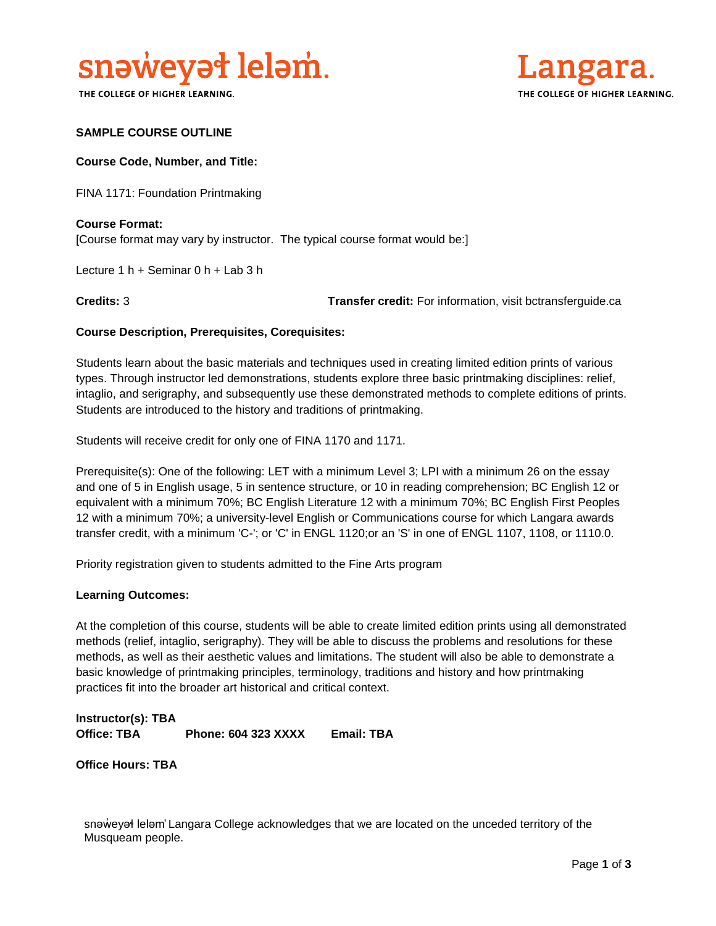

THE COLLEGE OF HIGHER LEARNING.



### **SAMPLE COURSE OUTLINE**

**Course Code, Number, and Title:**

FINA 1171: Foundation Printmaking

**Course Format:** [Course format may vary by instructor. The typical course format would be:]

Lecture 1 h + Seminar 0 h + Lab 3 h

**Credits:** 3 **Transfer credit:** For information, visit bctransferguide.ca

#### **Course Description, Prerequisites, Corequisites:**

Students learn about the basic materials and techniques used in creating limited edition prints of various types. Through instructor led demonstrations, students explore three basic printmaking disciplines: relief, intaglio, and serigraphy, and subsequently use these demonstrated methods to complete editions of prints. Students are introduced to the history and traditions of printmaking.

Students will receive credit for only one of FINA 1170 and 1171.

Prerequisite(s): One of the following: LET with a minimum Level 3; LPI with a minimum 26 on the essay and one of 5 in English usage, 5 in sentence structure, or 10 in reading comprehension; BC English 12 or equivalent with a minimum 70%; BC English Literature 12 with a minimum 70%; BC English First Peoples 12 with a minimum 70%; a university-level English or Communications course for which Langara awards transfer credit, with a minimum 'C-'; or 'C' in ENGL 1120;or an 'S' in one of ENGL 1107, 1108, or 1110.0.

Priority registration given to students admitted to the Fine Arts program

#### **Learning Outcomes:**

At the completion of this course, students will be able to create limited edition prints using all demonstrated methods (relief, intaglio, serigraphy). They will be able to discuss the problems and resolutions for these methods, as well as their aesthetic values and limitations. The student will also be able to demonstrate a basic knowledge of printmaking principles, terminology, traditions and history and how printmaking practices fit into the broader art historical and critical context.

**Instructor(s): TBA Office: TBA Phone: 604 323 XXXX Email: TBA**

**Office Hours: TBA** 

snaweyał lelam' Langara College acknowledges that we are located on the unceded territory of the Musqueam people.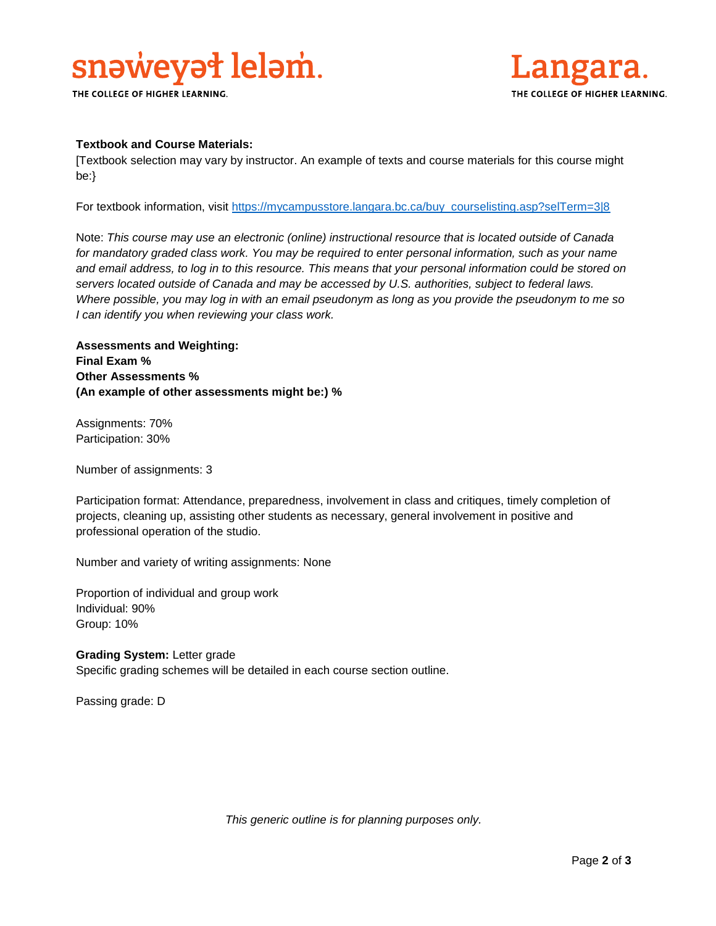# snaweyał lelam.

THE COLLEGE OF HIGHER LEARNING.



#### **Textbook and Course Materials:**

[Textbook selection may vary by instructor. An example of texts and course materials for this course might be:}

For textbook information, visit [https://mycampusstore.langara.bc.ca/buy\\_courselisting.asp?selTerm=3|8](https://mycampusstore.langara.bc.ca/buy_courselisting.asp?selTerm=3|8)

Note: *This course may use an electronic (online) instructional resource that is located outside of Canada*  for mandatory graded class work. You may be required to enter personal information, such as your name *and email address, to log in to this resource. This means that your personal information could be stored on servers located outside of Canada and may be accessed by U.S. authorities, subject to federal laws. Where possible, you may log in with an email pseudonym as long as you provide the pseudonym to me so I can identify you when reviewing your class work.* 

**Assessments and Weighting: Final Exam % Other Assessments % (An example of other assessments might be:) %**

Assignments: 70% Participation: 30%

Number of assignments: 3

Participation format: Attendance, preparedness, involvement in class and critiques, timely completion of projects, cleaning up, assisting other students as necessary, general involvement in positive and professional operation of the studio.

Number and variety of writing assignments: None

Proportion of individual and group work Individual: 90% Group: 10%

**Grading System:** Letter grade Specific grading schemes will be detailed in each course section outline.

Passing grade: D

*This generic outline is for planning purposes only.*